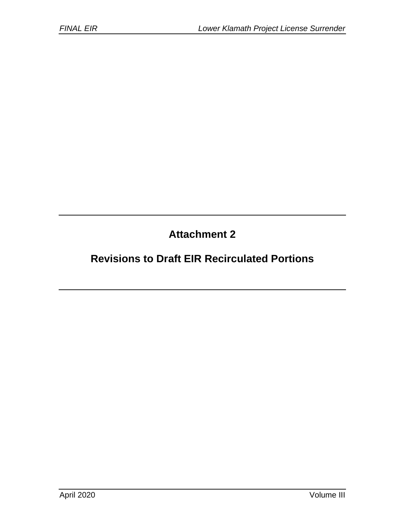**Attachment 2**

# **Revisions to Draft EIR Recirculated Portions**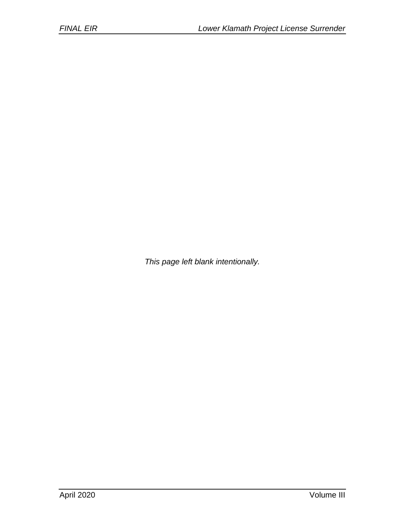*This page left blank intentionally.*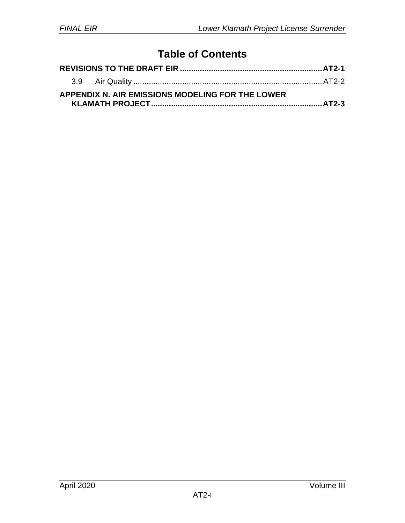# **Table of Contents**

| APPENDIX N. AIR EMISSIONS MODELING FOR THE LOWER |  |  |
|--------------------------------------------------|--|--|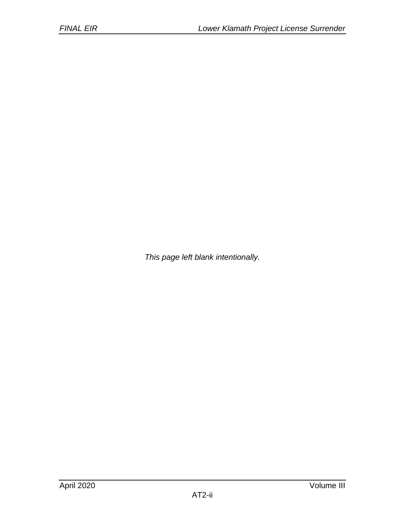*This page left blank intentionally.*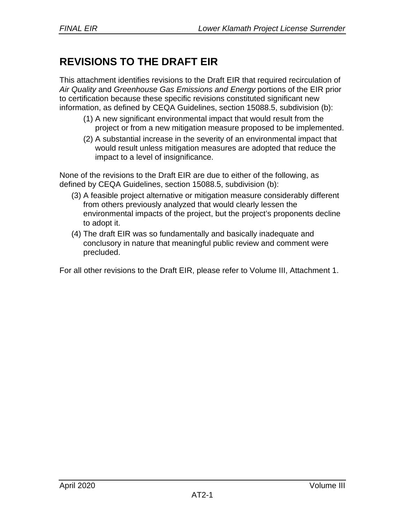# <span id="page-4-0"></span>**REVISIONS TO THE DRAFT EIR**

This attachment identifies revisions to the Draft EIR that required recirculation of *Air Quality* and *Greenhouse Gas Emissions and Energy* portions of the EIR prior to certification because these specific revisions constituted significant new information, as defined by CEQA Guidelines, section 15088.5, subdivision (b):

- (1) A new significant environmental impact that would result from the project or from a new mitigation measure proposed to be implemented.
- (2) A substantial increase in the severity of an environmental impact that would result unless mitigation measures are adopted that reduce the impact to a level of insignificance.

None of the revisions to the Draft EIR are due to either of the following, as defined by CEQA Guidelines, section 15088.5, subdivision (b):

- (3) A feasible project alternative or mitigation measure considerably different from others previously analyzed that would clearly lessen the environmental impacts of the project, but the project's proponents decline to adopt it.
- (4) The draft EIR was so fundamentally and basically inadequate and conclusory in nature that meaningful public review and comment were precluded.

For all other revisions to the Draft EIR, please refer to Volume III, Attachment 1.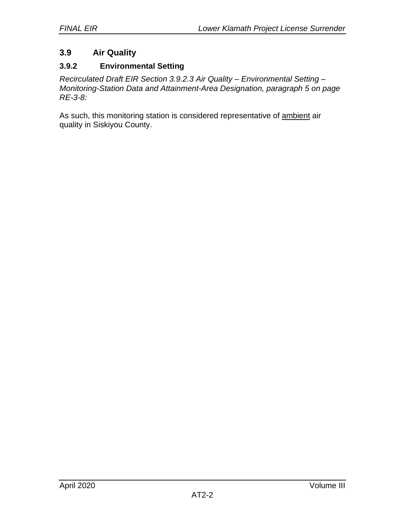### <span id="page-5-0"></span>**3.9 Air Quality**

### **3.9.2 Environmental Setting**

*Recirculated Draft EIR Section 3.9.2.3 Air Quality – Environmental Setting – Monitoring-Station Data and Attainment-Area Designation, paragraph 5 on page RE-3-8:*

As such, this monitoring station is considered representative of ambient air quality in Siskiyou County.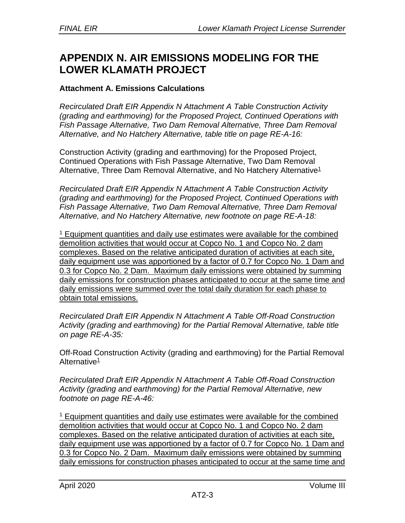### <span id="page-6-0"></span>**APPENDIX N. AIR EMISSIONS MODELING FOR THE LOWER KLAMATH PROJECT**

#### **Attachment A. Emissions Calculations**

*Recirculated Draft EIR Appendix N Attachment A Table Construction Activity (grading and earthmoving) for the Proposed Project, Continued Operations with Fish Passage Alternative, Two Dam Removal Alternative, Three Dam Removal Alternative, and No Hatchery Alternative, table title on page RE-A-16:*

Construction Activity (grading and earthmoving) for the Proposed Project, Continued Operations with Fish Passage Alternative, Two Dam Removal Alternative, Three Dam Removal Alternative, and No Hatchery Alternative<sup>1</sup>

*Recirculated Draft EIR Appendix N Attachment A Table Construction Activity (grading and earthmoving) for the Proposed Project, Continued Operations with Fish Passage Alternative, Two Dam Removal Alternative, Three Dam Removal Alternative, and No Hatchery Alternative, new footnote on page RE-A-18:*

 $<sup>1</sup>$  Equipment quantities and daily use estimates were available for the combined</sup> demolition activities that would occur at Copco No. 1 and Copco No. 2 dam complexes. Based on the relative anticipated duration of activities at each site, daily equipment use was apportioned by a factor of 0.7 for Copco No. 1 Dam and 0.3 for Copco No. 2 Dam. Maximum daily emissions were obtained by summing daily emissions for construction phases anticipated to occur at the same time and daily emissions were summed over the total daily duration for each phase to obtain total emissions.

*Recirculated Draft EIR Appendix N Attachment A Table Off-Road Construction Activity (grading and earthmoving) for the Partial Removal Alternative, table title on page RE-A-35:*

Off-Road Construction Activity (grading and earthmoving) for the Partial Removal Alternative<sup>1</sup>

*Recirculated Draft EIR Appendix N Attachment A Table Off-Road Construction Activity (grading and earthmoving) for the Partial Removal Alternative, new footnote on page RE-A-46:*

 $<sup>1</sup>$  Equipment quantities and daily use estimates were available for the combined</sup> demolition activities that would occur at Copco No. 1 and Copco No. 2 dam complexes. Based on the relative anticipated duration of activities at each site, daily equipment use was apportioned by a factor of 0.7 for Copco No. 1 Dam and 0.3 for Copco No. 2 Dam. Maximum daily emissions were obtained by summing daily emissions for construction phases anticipated to occur at the same time and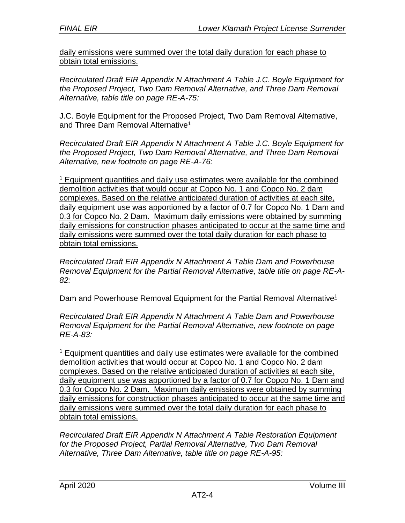daily emissions were summed over the total daily duration for each phase to obtain total emissions.

*Recirculated Draft EIR Appendix N Attachment A Table J.C. Boyle Equipment for the Proposed Project, Two Dam Removal Alternative, and Three Dam Removal Alternative, table title on page RE-A-75:*

J.C. Boyle Equipment for the Proposed Project, Two Dam Removal Alternative, and Three Dam Removal Alternative<sup>1</sup>

*Recirculated Draft EIR Appendix N Attachment A Table J.C. Boyle Equipment for the Proposed Project, Two Dam Removal Alternative, and Three Dam Removal Alternative, new footnote on page RE-A-76:*

<sup>1</sup> Equipment quantities and daily use estimates were available for the combined demolition activities that would occur at Copco No. 1 and Copco No. 2 dam complexes. Based on the relative anticipated duration of activities at each site, daily equipment use was apportioned by a factor of 0.7 for Copco No. 1 Dam and 0.3 for Copco No. 2 Dam. Maximum daily emissions were obtained by summing daily emissions for construction phases anticipated to occur at the same time and daily emissions were summed over the total daily duration for each phase to obtain total emissions.

*Recirculated Draft EIR Appendix N Attachment A Table Dam and Powerhouse Removal Equipment for the Partial Removal Alternative, table title on page RE-A-82:*

Dam and Powerhouse Removal Equipment for the Partial Removal Alternative<sup>1</sup>

*Recirculated Draft EIR Appendix N Attachment A Table Dam and Powerhouse Removal Equipment for the Partial Removal Alternative, new footnote on page RE-A-83:*

<sup>1</sup> Equipment quantities and daily use estimates were available for the combined demolition activities that would occur at Copco No. 1 and Copco No. 2 dam complexes. Based on the relative anticipated duration of activities at each site, daily equipment use was apportioned by a factor of 0.7 for Copco No. 1 Dam and 0.3 for Copco No. 2 Dam. Maximum daily emissions were obtained by summing daily emissions for construction phases anticipated to occur at the same time and daily emissions were summed over the total daily duration for each phase to obtain total emissions.

*Recirculated Draft EIR Appendix N Attachment A Table Restoration Equipment for the Proposed Project, Partial Removal Alternative, Two Dam Removal Alternative, Three Dam Alternative, table title on page RE-A-95:*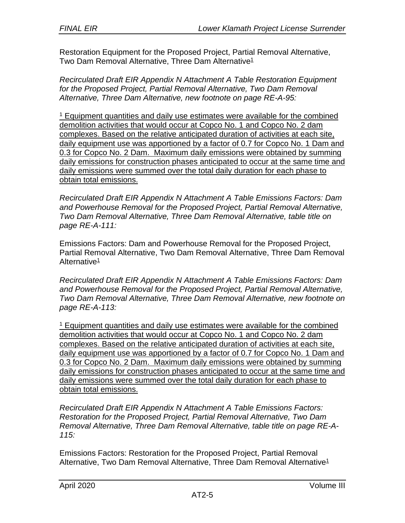Restoration Equipment for the Proposed Project, Partial Removal Alternative, Two Dam Removal Alternative, Three Dam Alternative<sup>1</sup>

*Recirculated Draft EIR Appendix N Attachment A Table Restoration Equipment for the Proposed Project, Partial Removal Alternative, Two Dam Removal Alternative, Three Dam Alternative, new footnote on page RE-A-95:*

 $1$  Equipment quantities and daily use estimates were available for the combined demolition activities that would occur at Copco No. 1 and Copco No. 2 dam complexes. Based on the relative anticipated duration of activities at each site, daily equipment use was apportioned by a factor of 0.7 for Copco No. 1 Dam and 0.3 for Copco No. 2 Dam. Maximum daily emissions were obtained by summing daily emissions for construction phases anticipated to occur at the same time and daily emissions were summed over the total daily duration for each phase to obtain total emissions.

*Recirculated Draft EIR Appendix N Attachment A Table Emissions Factors: Dam and Powerhouse Removal for the Proposed Project, Partial Removal Alternative, Two Dam Removal Alternative, Three Dam Removal Alternative, table title on page RE-A-111:*

Emissions Factors: Dam and Powerhouse Removal for the Proposed Project, Partial Removal Alternative, Two Dam Removal Alternative, Three Dam Removal Alternative<sup>1</sup>

*Recirculated Draft EIR Appendix N Attachment A Table Emissions Factors: Dam and Powerhouse Removal for the Proposed Project, Partial Removal Alternative, Two Dam Removal Alternative, Three Dam Removal Alternative, new footnote on page RE-A-113:*

<sup>1</sup> Equipment quantities and daily use estimates were available for the combined demolition activities that would occur at Copco No. 1 and Copco No. 2 dam complexes. Based on the relative anticipated duration of activities at each site, daily equipment use was apportioned by a factor of 0.7 for Copco No. 1 Dam and 0.3 for Copco No. 2 Dam. Maximum daily emissions were obtained by summing daily emissions for construction phases anticipated to occur at the same time and daily emissions were summed over the total daily duration for each phase to obtain total emissions.

*Recirculated Draft EIR Appendix N Attachment A Table Emissions Factors: Restoration for the Proposed Project, Partial Removal Alternative, Two Dam Removal Alternative, Three Dam Removal Alternative, table title on page RE-A-115:*

Emissions Factors: Restoration for the Proposed Project, Partial Removal Alternative, Two Dam Removal Alternative, Three Dam Removal Alternative<sup>1</sup>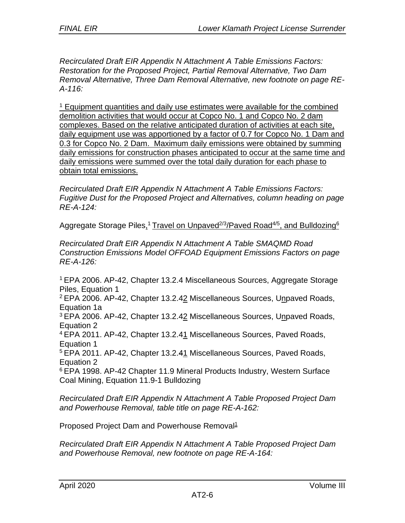*Recirculated Draft EIR Appendix N Attachment A Table Emissions Factors: Restoration for the Proposed Project, Partial Removal Alternative, Two Dam Removal Alternative, Three Dam Removal Alternative, new footnote on page RE-A-116:*

 $1$  Equipment quantities and daily use estimates were available for the combined demolition activities that would occur at Copco No. 1 and Copco No. 2 dam complexes. Based on the relative anticipated duration of activities at each site, daily equipment use was apportioned by a factor of 0.7 for Copco No. 1 Dam and 0.3 for Copco No. 2 Dam. Maximum daily emissions were obtained by summing daily emissions for construction phases anticipated to occur at the same time and daily emissions were summed over the total daily duration for each phase to obtain total emissions.

*Recirculated Draft EIR Appendix N Attachment A Table Emissions Factors: Fugitive Dust for the Proposed Project and Alternatives, column heading on page RE-A-124:*

Aggregate Storage Piles<u>,1 Travel on Unpaved<sup>2/3</sup>/Paved Road<sup>4/5</sup>, and Bulldozing<sup>6</sup></u>

*Recirculated Draft EIR Appendix N Attachment A Table SMAQMD Road Construction Emissions Model OFFOAD Equipment Emissions Factors on page RE-A-126:*

1 EPA 2006. AP-42, Chapter 13.2.4 Miscellaneous Sources, Aggregate Storage Piles, Equation 1

2 EPA 2006. AP-42, Chapter 13.2.42 Miscellaneous Sources, Unpaved Roads, Equation 1a

3 EPA 2006. AP-42, Chapter 13.2.42 Miscellaneous Sources, Unpaved Roads, Equation 2

4 EPA 2011. AP-42, Chapter 13.2.41 Miscellaneous Sources, Paved Roads, Equation 1

5 EPA 2011. AP-42, Chapter 13.2.41 Miscellaneous Sources, Paved Roads, Equation 2

6 EPA 1998. AP-42 Chapter 11.9 Mineral Products Industry, Western Surface Coal Mining, Equation 11.9-1 Bulldozing

*Recirculated Draft EIR Appendix N Attachment A Table Proposed Project Dam and Powerhouse Removal, table title on page RE-A-162:*

Proposed Project Dam and Powerhouse Removal<sup>1</sup>

*Recirculated Draft EIR Appendix N Attachment A Table Proposed Project Dam and Powerhouse Removal, new footnote on page RE-A-164:*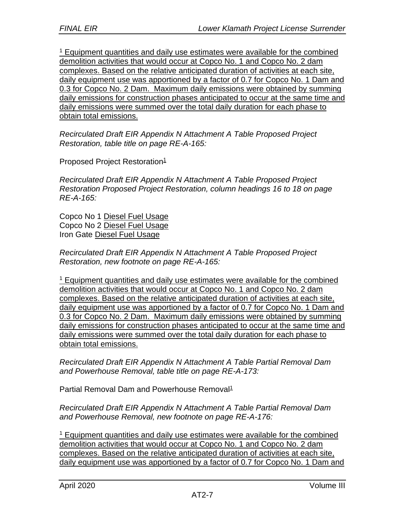<sup>1</sup> Equipment quantities and daily use estimates were available for the combined demolition activities that would occur at Copco No. 1 and Copco No. 2 dam complexes. Based on the relative anticipated duration of activities at each site, daily equipment use was apportioned by a factor of 0.7 for Copco No. 1 Dam and 0.3 for Copco No. 2 Dam. Maximum daily emissions were obtained by summing daily emissions for construction phases anticipated to occur at the same time and daily emissions were summed over the total daily duration for each phase to obtain total emissions.

*Recirculated Draft EIR Appendix N Attachment A Table Proposed Project Restoration, table title on page RE-A-165:*

Proposed Project Restoration<sup>1</sup>

*Recirculated Draft EIR Appendix N Attachment A Table Proposed Project Restoration Proposed Project Restoration, column headings 16 to 18 on page RE-A-165:*

Copco No 1 Diesel Fuel Usage Copco No 2 Diesel Fuel Usage Iron Gate Diesel Fuel Usage

*Recirculated Draft EIR Appendix N Attachment A Table Proposed Project Restoration, new footnote on page RE-A-165:*

<sup>1</sup> Equipment quantities and daily use estimates were available for the combined demolition activities that would occur at Copco No. 1 and Copco No. 2 dam complexes. Based on the relative anticipated duration of activities at each site, daily equipment use was apportioned by a factor of 0.7 for Copco No. 1 Dam and 0.3 for Copco No. 2 Dam. Maximum daily emissions were obtained by summing daily emissions for construction phases anticipated to occur at the same time and daily emissions were summed over the total daily duration for each phase to obtain total emissions.

*Recirculated Draft EIR Appendix N Attachment A Table Partial Removal Dam and Powerhouse Removal, table title on page RE-A-173:*

Partial Removal Dam and Powerhouse Removal<sup>1</sup>

*Recirculated Draft EIR Appendix N Attachment A Table Partial Removal Dam and Powerhouse Removal, new footnote on page RE-A-176:*

<sup>1</sup> Equipment quantities and daily use estimates were available for the combined demolition activities that would occur at Copco No. 1 and Copco No. 2 dam complexes. Based on the relative anticipated duration of activities at each site, daily equipment use was apportioned by a factor of 0.7 for Copco No. 1 Dam and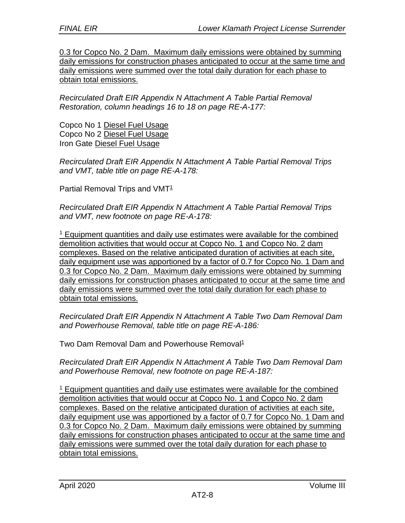0.3 for Copco No. 2 Dam. Maximum daily emissions were obtained by summing daily emissions for construction phases anticipated to occur at the same time and daily emissions were summed over the total daily duration for each phase to obtain total emissions.

*Recirculated Draft EIR Appendix N Attachment A Table Partial Removal Restoration, column headings 16 to 18 on page RE-A-177:*

Copco No 1 Diesel Fuel Usage Copco No 2 Diesel Fuel Usage Iron Gate Diesel Fuel Usage

*Recirculated Draft EIR Appendix N Attachment A Table Partial Removal Trips and VMT, table title on page RE-A-178:*

Partial Removal Trips and VMT<sup>1</sup>

*Recirculated Draft EIR Appendix N Attachment A Table Partial Removal Trips and VMT, new footnote on page RE-A-178:*

<sup>1</sup> Equipment quantities and daily use estimates were available for the combined demolition activities that would occur at Copco No. 1 and Copco No. 2 dam complexes. Based on the relative anticipated duration of activities at each site, daily equipment use was apportioned by a factor of 0.7 for Copco No. 1 Dam and 0.3 for Copco No. 2 Dam. Maximum daily emissions were obtained by summing daily emissions for construction phases anticipated to occur at the same time and daily emissions were summed over the total daily duration for each phase to obtain total emissions.

*Recirculated Draft EIR Appendix N Attachment A Table Two Dam Removal Dam and Powerhouse Removal, table title on page RE-A-186:*

Two Dam Removal Dam and Powerhouse Removal<sup>1</sup>

*Recirculated Draft EIR Appendix N Attachment A Table Two Dam Removal Dam and Powerhouse Removal, new footnote on page RE-A-187:*

<sup>1</sup> Equipment quantities and daily use estimates were available for the combined demolition activities that would occur at Copco No. 1 and Copco No. 2 dam complexes. Based on the relative anticipated duration of activities at each site, daily equipment use was apportioned by a factor of 0.7 for Copco No. 1 Dam and 0.3 for Copco No. 2 Dam. Maximum daily emissions were obtained by summing daily emissions for construction phases anticipated to occur at the same time and daily emissions were summed over the total daily duration for each phase to obtain total emissions.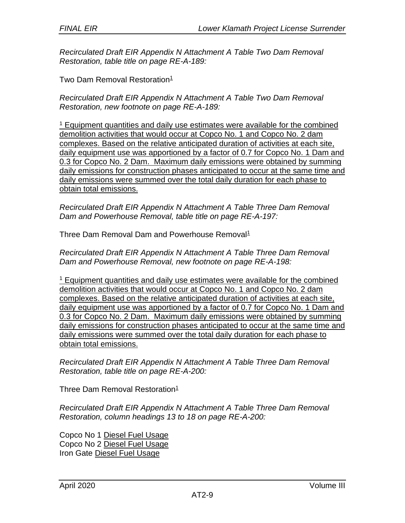*Recirculated Draft EIR Appendix N Attachment A Table Two Dam Removal Restoration, table title on page RE-A-189:*

Two Dam Removal Restoration<sup>1</sup>

*Recirculated Draft EIR Appendix N Attachment A Table Two Dam Removal Restoration, new footnote on page RE-A-189:*

<sup>1</sup> Equipment quantities and daily use estimates were available for the combined demolition activities that would occur at Copco No. 1 and Copco No. 2 dam complexes. Based on the relative anticipated duration of activities at each site, daily equipment use was apportioned by a factor of 0.7 for Copco No. 1 Dam and 0.3 for Copco No. 2 Dam. Maximum daily emissions were obtained by summing daily emissions for construction phases anticipated to occur at the same time and daily emissions were summed over the total daily duration for each phase to obtain total emissions.

*Recirculated Draft EIR Appendix N Attachment A Table Three Dam Removal Dam and Powerhouse Removal, table title on page RE-A-197:*

Three Dam Removal Dam and Powerhouse Removal<sup>1</sup>

*Recirculated Draft EIR Appendix N Attachment A Table Three Dam Removal Dam and Powerhouse Removal, new footnote on page RE-A-198:*

<sup>1</sup> Equipment quantities and daily use estimates were available for the combined demolition activities that would occur at Copco No. 1 and Copco No. 2 dam complexes. Based on the relative anticipated duration of activities at each site, daily equipment use was apportioned by a factor of 0.7 for Copco No. 1 Dam and 0.3 for Copco No. 2 Dam. Maximum daily emissions were obtained by summing daily emissions for construction phases anticipated to occur at the same time and daily emissions were summed over the total daily duration for each phase to obtain total emissions.

*Recirculated Draft EIR Appendix N Attachment A Table Three Dam Removal Restoration, table title on page RE-A-200:*

Three Dam Removal Restoration<sup>1</sup>

*Recirculated Draft EIR Appendix N Attachment A Table Three Dam Removal Restoration, column headings 13 to 18 on page RE-A-200:*

Copco No 1 Diesel Fuel Usage Copco No 2 Diesel Fuel Usage Iron Gate Diesel Fuel Usage